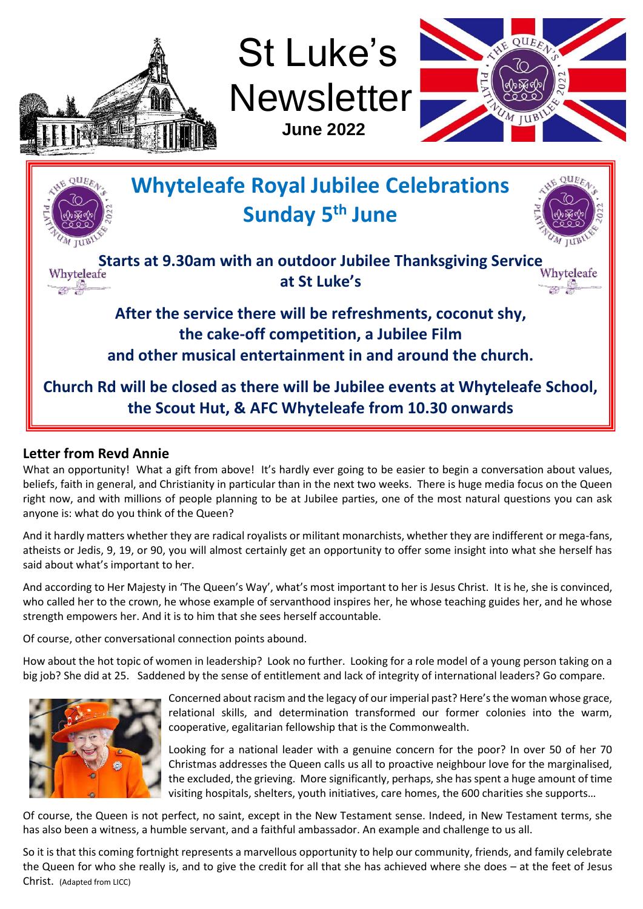

St Luke's **Newsletter June 2022**





#### **Letter from Revd Annie**

What an opportunity! What a gift from above! It's hardly ever going to be easier to begin a conversation about values, beliefs, faith in general, and Christianity in particular than in the next two weeks. There is huge media focus on the Queen right now, and with millions of people planning to be at Jubilee parties, one of the most natural questions you can ask anyone is: what do you think of the Queen?

And it hardly matters whether they are radical royalists or militant monarchists, whether they are indifferent or mega-fans, atheists or Jedis, 9, 19, or 90, you will almost certainly get an opportunity to offer some insight into what she herself has said about what's important to her.

And according to Her Majesty in 'The Queen's Way', what's most important to her is Jesus Christ. It is he, she is convinced, who called her to the crown, he whose example of servanthood inspires her, he whose teaching guides her, and he whose strength empowers her. And it is to him that she sees herself accountable.

Of course, other conversational connection points abound.

How about the hot topic of women in leadership? Look no further. Looking for a role model of a young person taking on a big job? She did at 25. Saddened by the sense of entitlement and lack of integrity of international leaders? Go compare.



Concerned about racism and the legacy of our imperial past? Here's the woman whose grace, relational skills, and determination transformed our former colonies into the warm, cooperative, egalitarian fellowship that is the Commonwealth.

Looking for a national leader with a genuine concern for the poor? In over 50 of her 70 Christmas addresses the Queen calls us all to proactive neighbour love for the marginalised, the excluded, the grieving. More significantly, perhaps, she has spent a huge amount of time visiting hospitals, shelters, youth initiatives, care homes, the 600 charities she supports…

Of course, the Queen is not perfect, no saint, except in the New Testament sense. Indeed, in New Testament terms, she has also been a witness, a humble servant, and a faithful ambassador. An example and challenge to us all.

So it is that this coming fortnight represents a marvellous opportunity to help our community, friends, and family celebrate the Queen for who she really is, and to give the credit for all that she has achieved where she does – at the feet of Jesus Christ. (Adapted from LICC)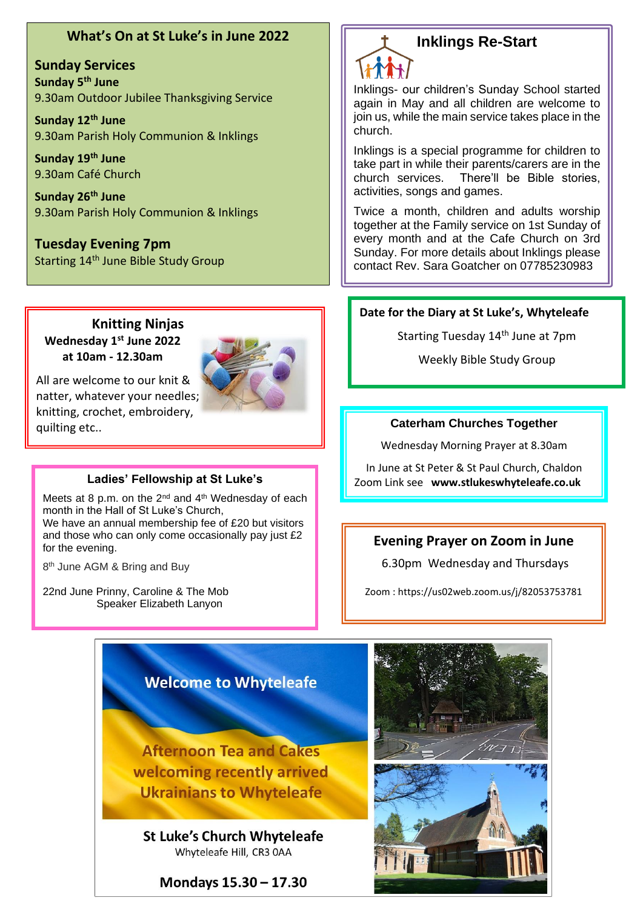#### **What's On at St Luke's in June 2022**

**Sunday Services Sunday 5th June** 9.30am Outdoor Jubilee Thanksgiving Service

**Sunday 12th June** 9.30am Parish Holy Communion & Inklings

**Sunday 19th June** 9.30am Café Church

**Sunday 26th June** 9.30am Parish Holy Communion & Inklings

**Tuesday Evening 7pm** Starting 14<sup>th</sup> June Bible Study Group

#### **Knitting Ninjas Wednesday 1st June 2022 at 10am - 12.30am**



All are welcome to our knit & natter, whatever your needles; knitting, crochet, embroidery, quilting etc..

Meets at 8 p.m. on the  $2^{nd}$  and  $4^{th}$  Wednesday of each month in the Hall of St Luke's Church,

We have an annual membership fee of £20 but visitors and those who can only come occasionally pay just £2 for the evening.

8<sup>th</sup> June AGM & Bring and Buy

22nd June Prinny, Caroline & The Mob Speaker Elizabeth Lanyon

### **Inklings Re-Start**

Inklings- our children's Sunday School started again in May and all children are welcome to join us, while the main service takes place in the church.

Inklings is a special programme for children to take part in while their parents/carers are in the church services. There'll be Bible stories, activities, songs and games.

Twice a month, children and adults worship together at the Family service on 1st Sunday of every month and at the Cafe Church on 3rd Sunday. For more details about Inklings please contact Rev. Sara Goatcher on 07785230983

#### **Date for the Diary at St Luke's, Whyteleafe**

Starting Tuesday 14<sup>th</sup> June at 7pm

Weekly Bible Study Group

#### **Caterham Churches Together**

Wednesday Morning Prayer at 8.30am

In June at St Peter & St Paul Church, Chaldon Ladies' Fellowship at St Luke's **Noting the Ladies' Fellowship at St Luke's Algebrary** Zoom Link see www.stlukeswhyteleafe.co.uk

#### **Evening Prayer on Zoom in June**

6.30pm Wednesday and Thursdays

Zoom [: https://us02web.zoom.us/j/82053753781](https://us02web.zoom.us/j/82053753781)